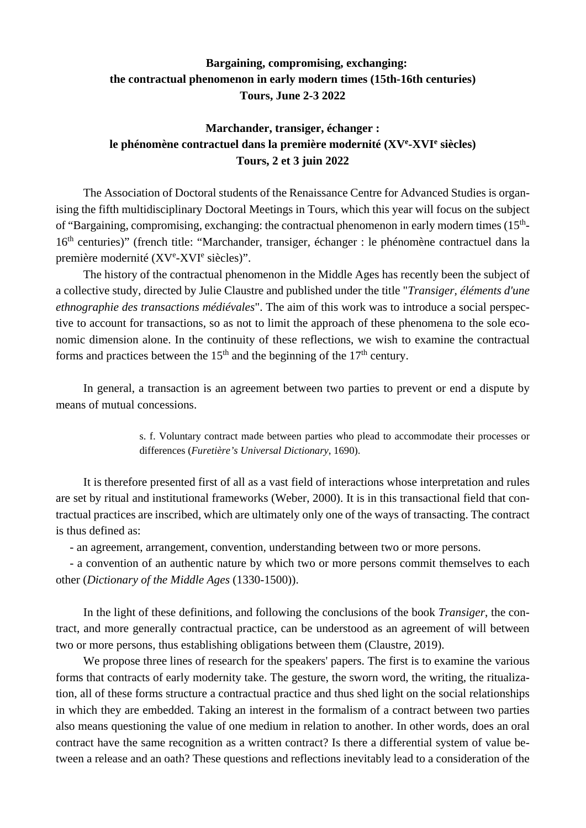## **Bargaining, compromising, exchanging: the contractual phenomenon in early modern times (15th-16th centuries) Tours, June 2-3 2022**

## **Marchander, transiger, échanger : le phénomène contractuel dans la première modernité (XVe -XVIe siècles) Tours, 2 et 3 juin 2022**

The Association of Doctoral students of the Renaissance Centre for Advanced Studies is organising the fifth multidisciplinary Doctoral Meetings in Tours, which this year will focus on the subject of "Bargaining, compromising, exchanging: the contractual phenomenon in early modern times  $(15<sup>th</sup>-$ 16<sup>th</sup> centuries)" (french title: "Marchander, transiger, échanger : le phénomène contractuel dans la première modernité (XVe-XVIe siècles)".

The history of the contractual phenomenon in the Middle Ages has recently been the subject of a collective study, directed by Julie Claustre and published under the title "*Transiger, éléments d'une ethnographie des transactions médiévales*". The aim of this work was to introduce a social perspective to account for transactions, so as not to limit the approach of these phenomena to the sole economic dimension alone. In the continuity of these reflections, we wish to examine the contractual forms and practices between the  $15<sup>th</sup>$  and the beginning of the  $17<sup>th</sup>$  century.

In general, a transaction is an agreement between two parties to prevent or end a dispute by means of mutual concessions.

> s. f. Voluntary contract made between parties who plead to accommodate their processes or differences (*Furetière's Universal Dictionary*, 1690).

It is therefore presented first of all as a vast field of interactions whose interpretation and rules are set by ritual and institutional frameworks (Weber, 2000). It is in this transactional field that contractual practices are inscribed, which are ultimately only one of the ways of transacting. The contract is thus defined as:

- an agreement, arrangement, convention, understanding between two or more persons.

- a convention of an authentic nature by which two or more persons commit themselves to each other (*Dictionary of the Middle Ages* (1330-1500)).

In the light of these definitions, and following the conclusions of the book *Transiger*, the contract, and more generally contractual practice, can be understood as an agreement of will between two or more persons, thus establishing obligations between them (Claustre, 2019).

We propose three lines of research for the speakers' papers. The first is to examine the various forms that contracts of early modernity take. The gesture, the sworn word, the writing, the ritualization, all of these forms structure a contractual practice and thus shed light on the social relationships in which they are embedded. Taking an interest in the formalism of a contract between two parties also means questioning the value of one medium in relation to another. In other words, does an oral contract have the same recognition as a written contract? Is there a differential system of value between a release and an oath? These questions and reflections inevitably lead to a consideration of the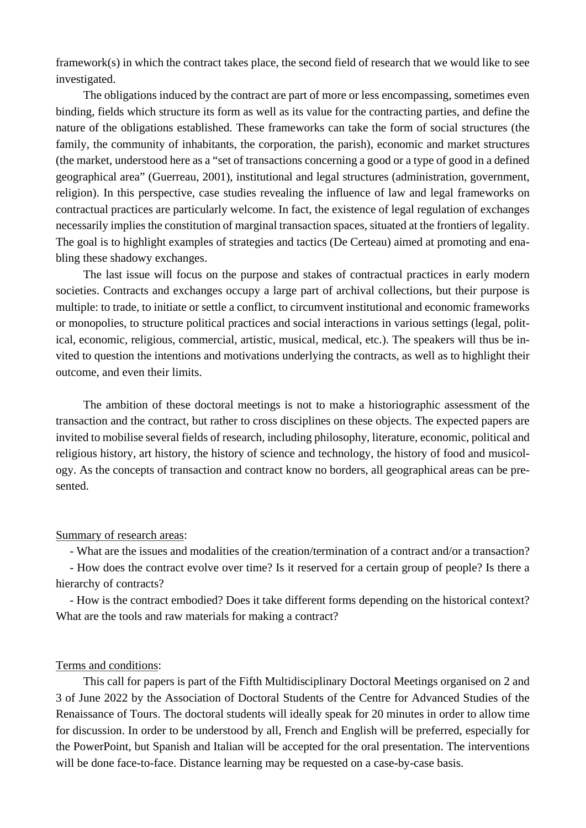framework(s) in which the contract takes place, the second field of research that we would like to see investigated.

The obligations induced by the contract are part of more or less encompassing, sometimes even binding, fields which structure its form as well as its value for the contracting parties, and define the nature of the obligations established. These frameworks can take the form of social structures (the family, the community of inhabitants, the corporation, the parish), economic and market structures (the market, understood here as a "set of transactions concerning a good or a type of good in a defined geographical area" (Guerreau, 2001), institutional and legal structures (administration, government, religion). In this perspective, case studies revealing the influence of law and legal frameworks on contractual practices are particularly welcome. In fact, the existence of legal regulation of exchanges necessarily implies the constitution of marginal transaction spaces, situated at the frontiers of legality. The goal is to highlight examples of strategies and tactics (De Certeau) aimed at promoting and enabling these shadowy exchanges.

The last issue will focus on the purpose and stakes of contractual practices in early modern societies. Contracts and exchanges occupy a large part of archival collections, but their purpose is multiple: to trade, to initiate or settle a conflict, to circumvent institutional and economic frameworks or monopolies, to structure political practices and social interactions in various settings (legal, political, economic, religious, commercial, artistic, musical, medical, etc.). The speakers will thus be invited to question the intentions and motivations underlying the contracts, as well as to highlight their outcome, and even their limits.

The ambition of these doctoral meetings is not to make a historiographic assessment of the transaction and the contract, but rather to cross disciplines on these objects. The expected papers are invited to mobilise several fields of research, including philosophy, literature, economic, political and religious history, art history, the history of science and technology, the history of food and musicology. As the concepts of transaction and contract know no borders, all geographical areas can be presented.

## Summary of research areas:

- What are the issues and modalities of the creation/termination of a contract and/or a transaction?

- How does the contract evolve over time? Is it reserved for a certain group of people? Is there a hierarchy of contracts?

- How is the contract embodied? Does it take different forms depending on the historical context? What are the tools and raw materials for making a contract?

## Terms and conditions:

This call for papers is part of the Fifth Multidisciplinary Doctoral Meetings organised on 2 and 3 of June 2022 by the Association of Doctoral Students of the Centre for Advanced Studies of the Renaissance of Tours. The doctoral students will ideally speak for 20 minutes in order to allow time for discussion. In order to be understood by all, French and English will be preferred, especially for the PowerPoint, but Spanish and Italian will be accepted for the oral presentation. The interventions will be done face-to-face. Distance learning may be requested on a case-by-case basis.